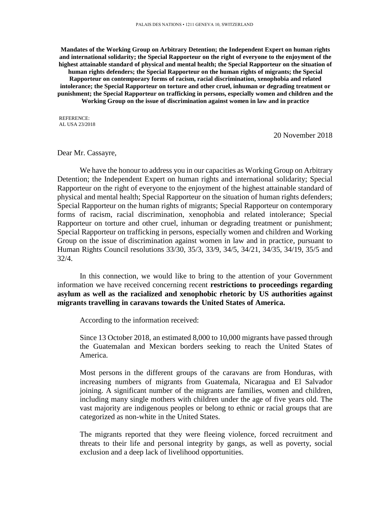**Mandates of the Working Group on Arbitrary Detention; the Independent Expert on human rights and international solidarity; the Special Rapporteur on the right of everyone to the enjoyment of the highest attainable standard of physical and mental health; the Special Rapporteur on the situation of** 

**human rights defenders; the Special Rapporteur on the human rights of migrants; the Special Rapporteur on contemporary forms of racism, racial discrimination, xenophobia and related intolerance; the Special Rapporteur on torture and other cruel, inhuman or degrading treatment or punishment; the Special Rapporteur on trafficking in persons, especially women and children and the Working Group on the issue of discrimination against women in law and in practice**

REFERENCE: AL USA 23/2018

20 November 2018

Dear Mr. Cassayre,

We have the honour to address you in our capacities as Working Group on Arbitrary Detention; the Independent Expert on human rights and international solidarity; Special Rapporteur on the right of everyone to the enjoyment of the highest attainable standard of physical and mental health; Special Rapporteur on the situation of human rights defenders; Special Rapporteur on the human rights of migrants; Special Rapporteur on contemporary forms of racism, racial discrimination, xenophobia and related intolerance; Special Rapporteur on torture and other cruel, inhuman or degrading treatment or punishment; Special Rapporteur on trafficking in persons, especially women and children and Working Group on the issue of discrimination against women in law and in practice, pursuant to Human Rights Council resolutions 33/30, 35/3, 33/9, 34/5, 34/21, 34/35, 34/19, 35/5 and 32/4.

In this connection, we would like to bring to the attention of your Government information we have received concerning recent **restrictions to proceedings regarding asylum as well as the racialized and xenophobic rhetoric by US authorities against migrants travelling in caravans towards the United States of America.**

According to the information received:

Since 13 October 2018, an estimated 8,000 to 10,000 migrants have passed through the Guatemalan and Mexican borders seeking to reach the United States of America.

Most persons in the different groups of the caravans are from Honduras, with increasing numbers of migrants from Guatemala, Nicaragua and El Salvador joining. A significant number of the migrants are families, women and children, including many single mothers with children under the age of five years old. The vast majority are indigenous peoples or belong to ethnic or racial groups that are categorized as non-white in the United States.

The migrants reported that they were fleeing violence, forced recruitment and threats to their life and personal integrity by gangs, as well as poverty, social exclusion and a deep lack of livelihood opportunities.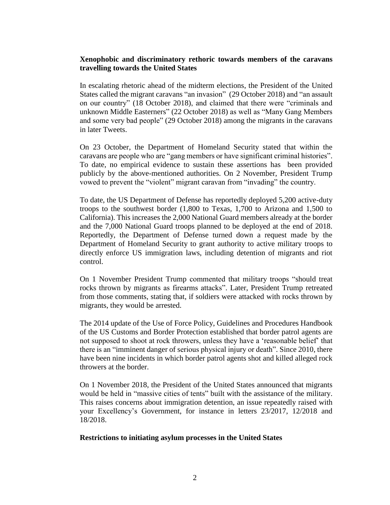## **Xenophobic and discriminatory rethoric towards members of the caravans travelling towards the United States**

In escalating rhetoric ahead of the midterm elections, the President of the United States called the migrant caravans "an invasion" (29 October 2018) and "an assault on our country" (18 October 2018), and claimed that there were "criminals and unknown Middle Easterners" (22 October 2018) as well as "Many Gang Members and some very bad people" (29 October 2018) among the migrants in the caravans in later Tweets.

On 23 October, the Department of Homeland Security stated that within the caravans are people who are "gang members or have significant criminal histories". To date, no empirical evidence to sustain these assertions has been provided publicly by the above-mentioned authorities. On 2 November, President Trump vowed to prevent the "violent" migrant caravan from "invading" the country.

To date, the US Department of Defense has reportedly deployed 5,200 active-duty troops to the southwest border (1,800 to Texas, 1,700 to Arizona and 1,500 to California). This increases the 2,000 National Guard members already at the border and the 7,000 National Guard troops planned to be deployed at the end of 2018. Reportedly, the Department of Defense turned down a request made by the Department of Homeland Security to grant authority to active military troops to directly enforce US immigration laws, including detention of migrants and riot control.

On 1 November President Trump commented that military troops "should treat rocks thrown by migrants as firearms attacks". Later, President Trump retreated from those comments, stating that, if soldiers were attacked with rocks thrown by migrants, they would be arrested.

The 2014 update of the Use of Force Policy, Guidelines and Procedures Handbook of the US Customs and Border Protection established that border patrol agents are not supposed to shoot at rock throwers, unless they have a 'reasonable belief' that there is an "imminent danger of serious physical injury or death". Since 2010, there have been nine incidents in which border patrol agents shot and killed alleged rock throwers at the border.

On 1 November 2018, the President of the United States announced that migrants would be held in "massive cities of tents" built with the assistance of the military. This raises concerns about immigration detention, an issue repeatedly raised with your Excellency's Government, for instance in letters 23/2017, 12/2018 and 18/2018.

## **Restrictions to initiating asylum processes in the United States**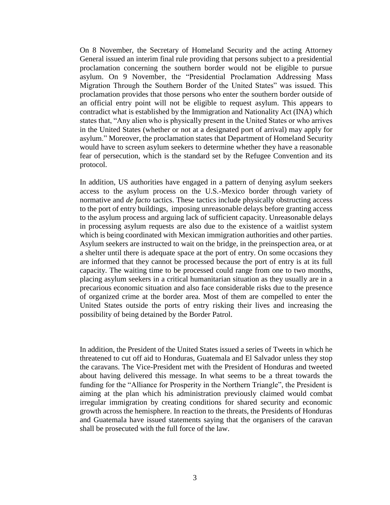On 8 November, the Secretary of Homeland Security and the acting Attorney General issued an interim final rule providing that persons subject to a presidential proclamation concerning the southern border would not be eligible to pursue asylum. On 9 November, the "Presidential Proclamation Addressing Mass Migration Through the Southern Border of the United States" was issued. This proclamation provides that those persons who enter the southern border outside of an official entry point will not be eligible to request asylum. This appears to contradict what is established by the Immigration and Nationality Act (INA) which states that, "Any alien who is physically present in the United States or who arrives in the United States (whether or not at a designated port of arrival) may apply for asylum." Moreover, the proclamation states that Department of Homeland Security would have to screen asylum seekers to determine whether they have a reasonable fear of persecution, which is the standard set by the Refugee Convention and its protocol.

In addition, US authorities have engaged in a pattern of denying asylum seekers access to the asylum process on the U.S.-Mexico border through variety of normative and *de facto* tactics. These tactics include physically obstructing access to the port of entry buildings, imposing unreasonable delays before granting access to the asylum process and arguing lack of sufficient capacity. Unreasonable delays in processing asylum requests are also due to the existence of a waitlist system which is being coordinated with Mexican immigration authorities and other parties. Asylum seekers are instructed to wait on the bridge, in the preinspection area, or at a shelter until there is adequate space at the port of entry. On some occasions they are informed that they cannot be processed because the port of entry is at its full capacity. The waiting time to be processed could range from one to two months, placing asylum seekers in a critical humanitarian situation as they usually are in a precarious economic situation and also face considerable risks due to the presence of organized crime at the border area. Most of them are compelled to enter the United States outside the ports of entry risking their lives and increasing the possibility of being detained by the Border Patrol.

In addition, the President of the United States issued a series of Tweets in which he threatened to cut off aid to Honduras, Guatemala and El Salvador unless they stop the caravans. The Vice-President met with the President of Honduras and tweeted about having delivered this message. In what seems to be a threat towards the funding for the "Alliance for Prosperity in the Northern Triangle", the President is aiming at the plan which his administration previously claimed would combat irregular immigration by creating conditions for shared security and economic growth across the hemisphere. In reaction to the threats, the Presidents of Honduras and Guatemala have issued statements saying that the organisers of the caravan shall be prosecuted with the full force of the law.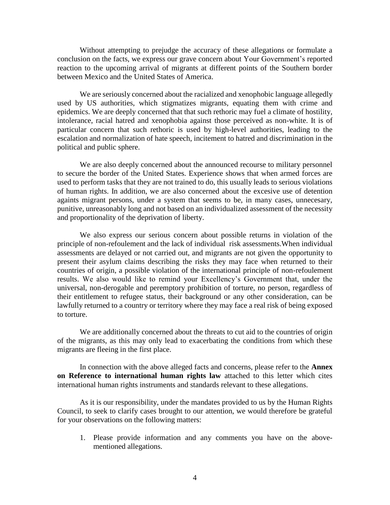Without attempting to prejudge the accuracy of these allegations or formulate a conclusion on the facts, we express our grave concern about Your Government's reported reaction to the upcoming arrival of migrants at different points of the Southern border between Mexico and the United States of America.

We are seriously concerned about the racialized and xenophobic language allegedly used by US authorities, which stigmatizes migrants, equating them with crime and epidemics. We are deeply concerned that that such rethoric may fuel a climate of hostility, intolerance, racial hatred and xenophobia against those perceived as non-white. It is of particular concern that such rethoric is used by high-level authorities, leading to the escalation and normalization of hate speech, incitement to hatred and discrimination in the political and public sphere.

We are also deeply concerned about the announced recourse to military personnel to secure the border of the United States. Experience shows that when armed forces are used to perform tasks that they are not trained to do, this usually leads to serious violations of human rights. In addition, we are also concerned about the excesive use of detention againts migrant persons, under a system that seems to be, in many cases, unnecesary, punitive, unreasonably long and not based on an individualized assessment of the necessity and proportionality of the deprivation of liberty.

We also express our serious concern about possible returns in violation of the principle of non-refoulement and the lack of individual risk assessments.When individual assessments are delayed or not carried out, and migrants are not given the opportunity to present their asylum claims describing the risks they may face when returned to their countries of origin, a possible violation of the international principle of non-refoulement results. We also would like to remind your Excellency's Government that, under the universal, non-derogable and peremptory prohibition of torture, no person, regardless of their entitlement to refugee status, their background or any other consideration, can be lawfully returned to a country or territory where they may face a real risk of being exposed to torture.

We are additionally concerned about the threats to cut aid to the countries of origin of the migrants, as this may only lead to exacerbating the conditions from which these migrants are fleeing in the first place.

In connection with the above alleged facts and concerns, please refer to the **Annex on Reference to international human rights law** attached to this letter which cites international human rights instruments and standards relevant to these allegations.

As it is our responsibility, under the mandates provided to us by the Human Rights Council, to seek to clarify cases brought to our attention, we would therefore be grateful for your observations on the following matters:

1. Please provide information and any comments you have on the abovementioned allegations.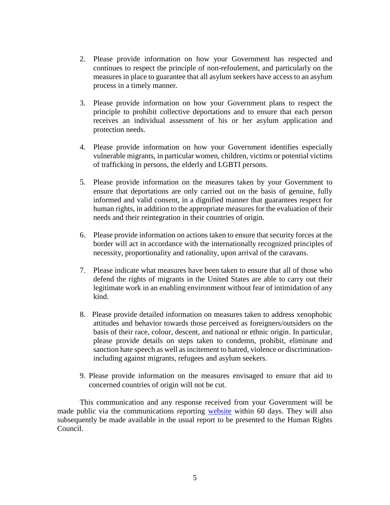- 2. Please provide information on how your Government has respected and continues to respect the principle of non-refoulement, and particularly on the measures in place to guarantee that all asylum seekers have access to an asylum process in a timely manner.
- 3. Please provide information on how your Government plans to respect the principle to prohibit collective deportations and to ensure that each person receives an individual assessment of his or her asylum application and protection needs.
- 4. Please provide information on how your Government identifies especially vulnerable migrants, in particular women, children, victims or potential victims of trafficking in persons, the elderly and LGBTI persons.
- 5. Please provide information on the measures taken by your Government to ensure that deportations are only carried out on the basis of genuine, fully informed and valid consent, in a dignified manner that guarantees respect for human rights, in addition to the appropriate measures for the evaluation of their needs and their reintegration in their countries of origin.
- 6. Please provide information on actions taken to ensure that security forces at the border will act in accordance with the internationally recognized principles of necessity, proportionality and rationality, upon arrival of the caravans.
- 7. Please indicate what measures have been taken to ensure that all of those who defend the rights of migrants in the United States are able to carry out their legitimate work in an enabling environment without fear of intimidation of any kind.
- 8. Please provide detailed information on measures taken to address xenophobic attitudes and behavior towards those perceived as foreigners/outsiders on the basis of their race, colour, descent, and national or ethnic origin. In particular, please provide details on steps taken to condemn, prohibit, eliminate and sanction hate speech as well as incitement to hatred, violence or discriminationincluding against migrants, refugees and asylum seekers.
- 9. Please provide information on the measures envisaged to ensure that aid to concerned countries of origin will not be cut.

This communication and any response received from your Government will be made public via the communications reporting [website](https://spcommreports.ohchr.org/) within 60 days. They will also subsequently be made available in the usual report to be presented to the Human Rights Council.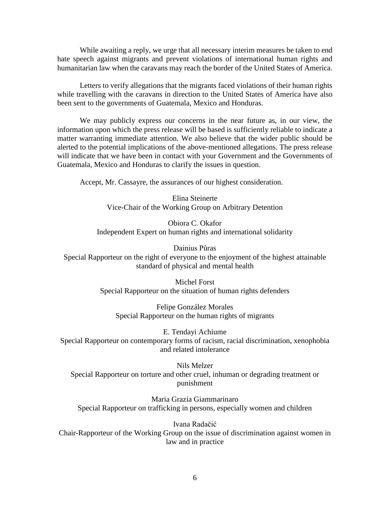While awaiting a reply, we urge that all necessary interim measures be taken to end hate speech against migrants and prevent violations of international human rights and humanitarian law when the caravans may reach the border of the United States of America.

Letters to verify allegations that the migrants faced violations of their human rights while travelling with the caravans in direction to the United States of America have also been sent to the governments of Guatemala, Mexico and Honduras.

We may publicly express our concerns in the near future as, in our view, the information upon which the press release will be based is sufficiently reliable to indicate a matter warranting immediate attention. We also believe that the wider public should be alerted to the potential implications of the above-mentioned allegations. The press release will indicate that we have been in contact with your Government and the Governments of Guatemala, Mexico and Honduras to clarify the issues in question.

Accept, Mr. Cassayre, the assurances of our highest consideration.

Elina Steinerte Vice-Chair of the Working Group on Arbitrary Detention

Obiora C. Okafor Independent Expert on human rights and international solidarity

Dainius Pûras Special Rapporteur on the right of everyone to the enjoyment of the highest attainable standard of physical and mental health

> Michel Forst Special Rapporteur on the situation of human rights defenders

Felipe González Morales Special Rapporteur on the human rights of migrants

E. Tendayi Achiume Special Rapporteur on contemporary forms of racism, racial discrimination, xenophobia and related intolerance

Nils Melzer Special Rapporteur on torture and other cruel, inhuman or degrading treatment or punishment

Maria Grazia Giammarinaro Special Rapporteur on trafficking in persons, especially women and children

Ivana Radačić Chair-Rapporteur of the Working Group on the issue of discrimination against women in law and in practice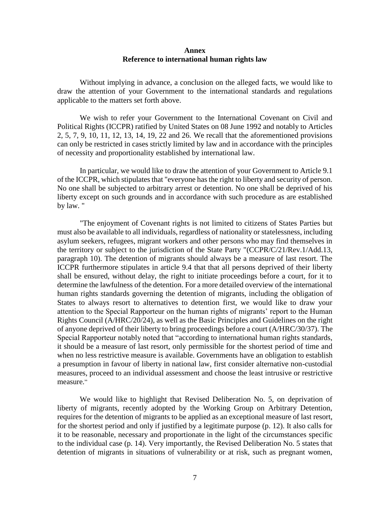## **Annex Reference to international human rights law**

Without implying in advance, a conclusion on the alleged facts, we would like to draw the attention of your Government to the international standards and regulations applicable to the matters set forth above.

We wish to refer your Government to the International Covenant on Civil and Political Rights (ICCPR) ratified by United States on 08 June 1992 and notably to Articles 2, 5, 7, 9, 10, 11, 12, 13, 14, 19, 22 and 26. We recall that the aforementioned provisions can only be restricted in cases strictly limited by law and in accordance with the principles of necessity and proportionality established by international law.

In particular, we would like to draw the attention of your Government to Article 9.1 of the ICCPR, which stipulates that "everyone has the right to liberty and security of person. No one shall be subjected to arbitrary arrest or detention. No one shall be deprived of his liberty except on such grounds and in accordance with such procedure as are established by law. "

"The enjoyment of Covenant rights is not limited to citizens of States Parties but must also be available to all individuals, regardless of nationality or statelessness, including asylum seekers, refugees, migrant workers and other persons who may find themselves in the territory or subject to the jurisdiction of the State Party "(CCPR/C/21/Rev.1/Add.13, paragraph 10). The detention of migrants should always be a measure of last resort. The ICCPR furthermore stipulates in article 9.4 that that all persons deprived of their liberty shall be ensured, without delay, the right to initiate proceedings before a court, for it to determine the lawfulness of the detention. For a more detailed overview of the international human rights standards governing the detention of migrants, including the obligation of States to always resort to alternatives to detention first, we would like to draw your attention to the Special Rapporteur on the human rights of migrants' report to the Human Rights Council (A/HRC/20/24), as well as the Basic Principles and Guidelines on the right of anyone deprived of their liberty to bring proceedings before a court (A/HRC/30/37). The Special Rapporteur notably noted that "according to international human rights standards, it should be a measure of last resort, only permissible for the shortest period of time and when no less restrictive measure is available. Governments have an obligation to establish a presumption in favour of liberty in national law, first consider alternative non-custodial measures, proceed to an individual assessment and choose the least intrusive or restrictive measure."

We would like to highlight that Revised Deliberation No. 5, on deprivation of liberty of migrants, recently adopted by the Working Group on Arbitrary Detention, requires for the detention of migrants to be applied as an exceptional measure of last resort, for the shortest period and only if justified by a legitimate purpose (p. 12). It also calls for it to be reasonable, necessary and proportionate in the light of the circumstances specific to the individual case (p. 14). Very importantly, the Revised Deliberation No. 5 states that detention of migrants in situations of vulnerability or at risk, such as pregnant women,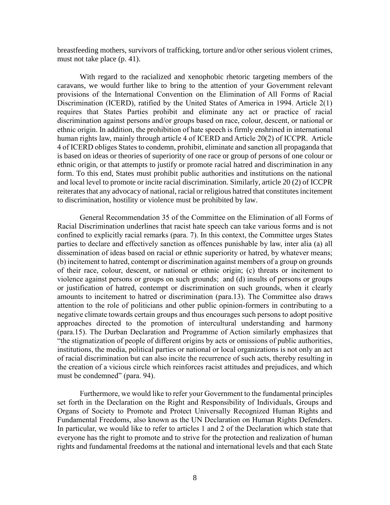breastfeeding mothers, survivors of trafficking, torture and/or other serious violent crimes, must not take place (p. 41).

With regard to the racialized and xenophobic rhetoric targeting members of the caravans, we would further like to bring to the attention of your Government relevant provisions of the International Convention on the Elimination of All Forms of Racial Discrimination (ICERD), ratified by the United States of America in 1994. Article 2(1) requires that States Parties prohibit and eliminate any act or practice of racial discrimination against persons and/or groups based on race, colour, descent, or national or ethnic origin. In addition, the prohibition of hate speech is firmly enshrined in international human rights law, mainly through article 4 of ICERD and Article 20(2) of ICCPR. Article 4 of ICERD obliges States to condemn, prohibit, eliminate and sanction all propaganda that is based on ideas or theories of superiority of one race or group of persons of one colour or ethnic origin, or that attempts to justify or promote racial hatred and discrimination in any form. To this end, States must prohibit public authorities and institutions on the national and local level to promote or incite racial discrimination. Similarly, article 20 (2) of ICCPR reiterates that any advocacy of national, racial or religious hatred that constitutes incitement to discrimination, hostility or violence must be prohibited by law.

General Recommendation 35 of the Committee on the Elimination of all Forms of Racial Discrimination underlines that racist hate speech can take various forms and is not confined to explicitly racial remarks (para. 7). In this context, the Committee urges States parties to declare and effectively sanction as offences punishable by law, inter alia (a) all dissemination of ideas based on racial or ethnic superiority or hatred, by whatever means; (b) incitement to hatred, contempt or discrimination against members of a group on grounds of their race, colour, descent, or national or ethnic origin; (c) threats or incitement to violence against persons or groups on such grounds; and (d) insults of persons or groups or justification of hatred, contempt or discrimination on such grounds, when it clearly amounts to incitement to hatred or discrimination (para.13). The Committee also draws attention to the role of politicians and other public opinion-formers in contributing to a negative climate towards certain groups and thus encourages such persons to adopt positive approaches directed to the promotion of intercultural understanding and harmony (para.15). The Durban Declaration and Programme of Action similarly emphasizes that "the stigmatization of people of different origins by acts or omissions of public authorities, institutions, the media, political parties or national or local organizations is not only an act of racial discrimination but can also incite the recurrence of such acts, thereby resulting in the creation of a vicious circle which reinforces racist attitudes and prejudices, and which must be condemned" (para. 94).

Furthermore, we would like to refer your Government to the fundamental principles set forth in the Declaration on the Right and Responsibility of Individuals, Groups and Organs of Society to Promote and Protect Universally Recognized Human Rights and Fundamental Freedoms, also known as the UN Declaration on Human Rights Defenders. In particular, we would like to refer to articles 1 and 2 of the Declaration which state that everyone has the right to promote and to strive for the protection and realization of human rights and fundamental freedoms at the national and international levels and that each State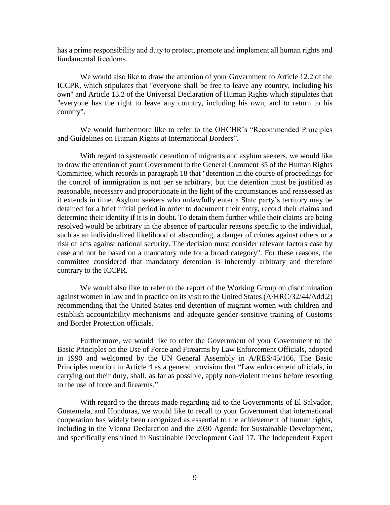has a prime responsibility and duty to protect, promote and implement all human rights and fundamental freedoms.

We would also like to draw the attention of your Government to Article 12.2 of the ICCPR, which stipulates that "everyone shall be free to leave any country, including his own" and Article 13.2 of the Universal Declaration of Human Rights which stipulates that "everyone has the right to leave any country, including his own, and to return to his country".

We would furthermore like to refer to the OHCHR's "Recommended Principles and Guidelines on Human Rights at International Borders".

With regard to systematic detention of migrants and asylum seekers, we would like to draw the attention of your Government to the General Comment 35 of the Human Rights Committee, which records in paragraph 18 that "detention in the course of proceedings for the control of immigration is not per se arbitrary, but the detention must be justified as reasonable, necessary and proportionate in the light of the circumstances and reassessed as it extends in time. Asylum seekers who unlawfully enter a State party's territory may be detained for a brief initial period in order to document their entry, record their claims and determine their identity if it is in doubt. To detain them further while their claims are being resolved would be arbitrary in the absence of particular reasons specific to the individual, such as an individualized likelihood of absconding, a danger of crimes against others or a risk of acts against national security. The decision must consider relevant factors case by case and not be based on a mandatory rule for a broad category". For these reasons, the committee considered that mandatory detention is inherently arbitrary and therefore contrary to the ICCPR.

We would also like to refer to the report of the Working Group on discrimination against women in law and in practice on its visit to the United States (A/HRC/32/44/Add.2) recommending that the United States end detention of migrant women with children and establish accountability mechanisms and adequate gender-sensitive training of Customs and Border Protection officials.

Furthermore, we would like to refer the Government of your Government to the Basic Principles on the Use of Force and Firearms by Law Enforcement Officials, adopted in 1990 and welcomed by the UN General Assembly in A/RES/45/166. The Basic Principles mention in Article 4 as a general provision that "Law enforcement officials, in carrying out their duty, shall, as far as possible, apply non-violent means before resorting to the use of force and firearms."

With regard to the threats made regarding aid to the Governments of El Salvador, Guatemala, and Honduras, we would like to recall to your Government that international cooperation has widely been recognized as essential to the achievement of human rights, including in the Vienna Declaration and the 2030 Agenda for Sustainable Development, and specifically enshrined in Sustainable Development Goal 17. The Independent Expert